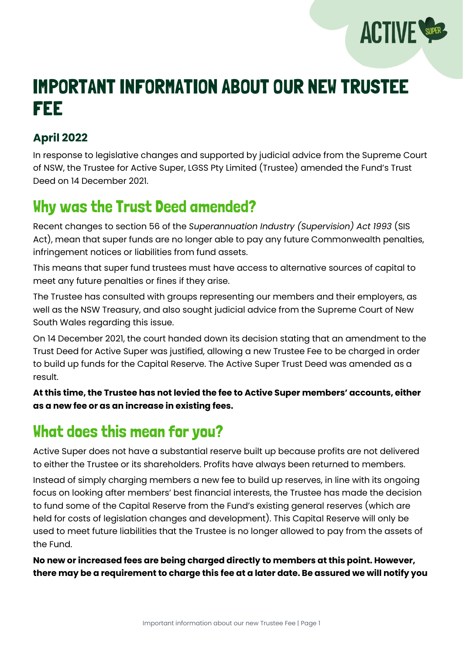

# IMPORTANT INFORMATION ABOUT OUR NEW TRUSTEE FEE

#### **April 2022**

In response to legislative changes and supported by judicial advice from the Supreme Court of NSW, the Trustee for Active Super, LGSS Pty Limited (Trustee) amended the Fund's Trust Deed on 14 December 2021.

#### Why was the Trust Deed amended?

Recent changes to section 56 of the *Superannuation Industry (Supervision) Act 1993* (SIS Act), mean that super funds are no longer able to pay any future Commonwealth penalties, infringement notices or liabilities from fund assets.

This means that super fund trustees must have access to alternative sources of capital to meet any future penalties or fines if they arise.

The Trustee has consulted with groups representing our members and their employers, as well as the NSW Treasury, and also sought judicial advice from the Supreme Court of New South Wales regarding this issue.

On 14 December 2021, the court handed down its decision stating that an amendment to the Trust Deed for Active Super was justified, allowing a new Trustee Fee to be charged in order to build up funds for the Capital Reserve. The Active Super Trust Deed was amended as a result.

**At this time, the Trustee has not levied the fee to Active Super members' accounts, either as a new fee or as an increase in existing fees.**

### What does this mean for you?

Active Super does not have a substantial reserve built up because profits are not delivered to either the Trustee or its shareholders. Profits have always been returned to members.

Instead of simply charging members a new fee to build up reserves, in line with its ongoing focus on looking after members' best financial interests, the Trustee has made the decision to fund some of the Capital Reserve from the Fund's existing general reserves (which are held for costs of legislation changes and development). This Capital Reserve will only be used to meet future liabilities that the Trustee is no longer allowed to pay from the assets of the Fund.

**No new or increased fees are being charged directly to members at this point. However, there may be a requirement to charge this fee at a later date. Be assured we will notify you**